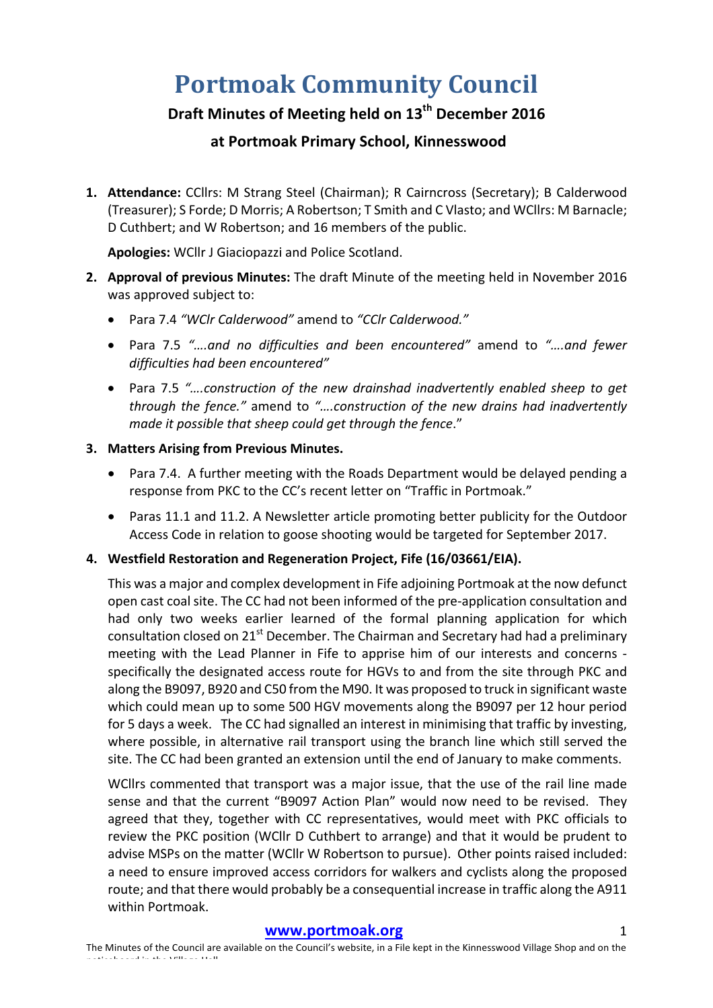# **Portmoak Community Council**

# **Draft Minutes of Meeting held on 13<sup>th</sup> December 2016**

# **at Portmoak Primary School, Kinnesswood**

1. Attendance: CCllrs: M Strang Steel (Chairman); R Cairncross (Secretary); B Calderwood (Treasurer); S Forde; D Morris; A Robertson; T Smith and C Vlasto; and WCllrs: M Barnacle; D Cuthbert; and W Robertson; and 16 members of the public.

Apologies: WCllr J Giaciopazzi and Police Scotland.

- 2. Approval of previous Minutes: The draft Minute of the meeting held in November 2016 was approved subject to:
	- Para 7.4 *"WClr Calderwood"* amend to *"CClr Calderwood."*
	- Para 7.5 "...and no difficulties and been encountered" amend to "...and fewer *difficulties had been encountered"*
	- Para 7.5 "....construction of the new drainshad inadvertently enabled sheep to get *through* the fence." amend to "....construction of the new drains had inadvertently *made it possible that sheep could get through the fence."*

# **3.** Matters Arising from Previous Minutes.

- Para 7.4. A further meeting with the Roads Department would be delayed pending a response from PKC to the CC's recent letter on "Traffic in Portmoak."
- Paras 11.1 and 11.2. A Newsletter article promoting better publicity for the Outdoor Access Code in relation to goose shooting would be targeted for September 2017.

# 4. Westfield Restoration and Regeneration Project, Fife (16/03661/EIA).

This was a major and complex development in Fife adjoining Portmoak at the now defunct open cast coal site. The CC had not been informed of the pre-application consultation and had only two weeks earlier learned of the formal planning application for which consultation closed on 21<sup>st</sup> December. The Chairman and Secretary had had a preliminary meeting with the Lead Planner in Fife to apprise him of our interests and concerns specifically the designated access route for HGVs to and from the site through PKC and along the B9097, B920 and C50 from the M90. It was proposed to truck in significant waste which could mean up to some 500 HGV movements along the B9097 per 12 hour period for 5 days a week. The CC had signalled an interest in minimising that traffic by investing, where possible, in alternative rail transport using the branch line which still served the site. The CC had been granted an extension until the end of January to make comments.

WCllrs commented that transport was a major issue, that the use of the rail line made sense and that the current "B9097 Action Plan" would now need to be revised. They agreed that they, together with CC representatives, would meet with PKC officials to review the PKC position (WCllr D Cuthbert to arrange) and that it would be prudent to advise MSPs on the matter (WCllr W Robertson to pursue). Other points raised included: a need to ensure improved access corridors for walkers and cyclists along the proposed route; and that there would probably be a consequential increase in traffic along the A911 within Portmoak.

#### **www.portmoak.org** 1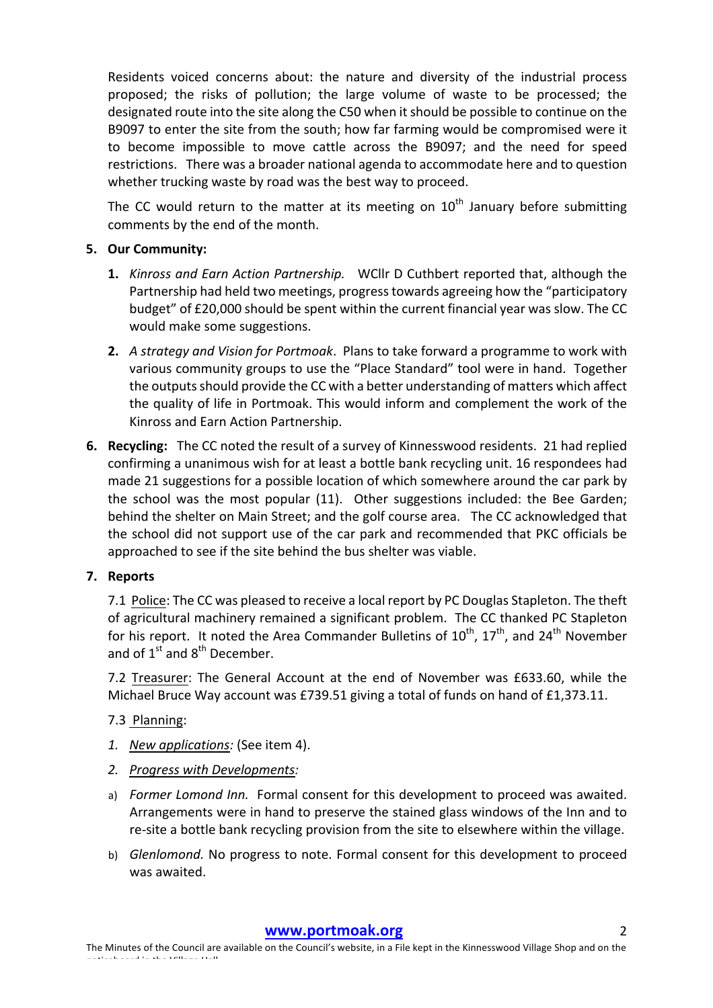Residents voiced concerns about: the nature and diversity of the industrial process proposed; the risks of pollution; the large volume of waste to be processed; the designated route into the site along the C50 when it should be possible to continue on the B9097 to enter the site from the south; how far farming would be compromised were it to become impossible to move cattle across the B9097; and the need for speed restrictions. There was a broader national agenda to accommodate here and to question whether trucking waste by road was the best way to proceed.

The CC would return to the matter at its meeting on  $10<sup>th</sup>$  January before submitting comments by the end of the month.

# **5. Our Community:**

- **1.** *Kinross and Earn Action Partnership.* WCllr D Cuthbert reported that, although the Partnership had held two meetings, progress towards agreeing how the "participatory budget" of £20,000 should be spent within the current financial year was slow. The CC would make some suggestions.
- **2.** *A strategy and Vision for Portmoak*. Plans to take forward a programme to work with various community groups to use the "Place Standard" tool were in hand. Together the outputs should provide the CC with a better understanding of matters which affect the quality of life in Portmoak. This would inform and complement the work of the Kinross and Earn Action Partnership.
- **6.** Recycling: The CC noted the result of a survey of Kinnesswood residents. 21 had replied confirming a unanimous wish for at least a bottle bank recycling unit. 16 respondees had made 21 suggestions for a possible location of which somewhere around the car park by the school was the most popular  $(11)$ . Other suggestions included: the Bee Garden; behind the shelter on Main Street; and the golf course area. The CC acknowledged that the school did not support use of the car park and recommended that PKC officials be approached to see if the site behind the bus shelter was viable.

## **7. Reports**

7.1 Police: The CC was pleased to receive a local report by PC Douglas Stapleton. The theft of agricultural machinery remained a significant problem. The CC thanked PC Stapleton for his report. It noted the Area Commander Bulletins of  $10^{th}$ ,  $17^{th}$ , and  $24^{th}$  November and of  $1^{\text{st}}$  and  $8^{\text{th}}$  December.

7.2 Treasurer: The General Account at the end of November was £633.60, while the Michael Bruce Way account was £739.51 giving a total of funds on hand of £1,373.11.

## 7.3 Planning:

- *1. New applications:* (See item 4).
- *2. Progress with Developments:*
- a) *Former Lomond Inn.* Formal consent for this development to proceed was awaited. Arrangements were in hand to preserve the stained glass windows of the Inn and to re-site a bottle bank recycling provision from the site to elsewhere within the village.
- b) *Glenlomond.* No progress to note. Formal consent for this development to proceed was awaited.